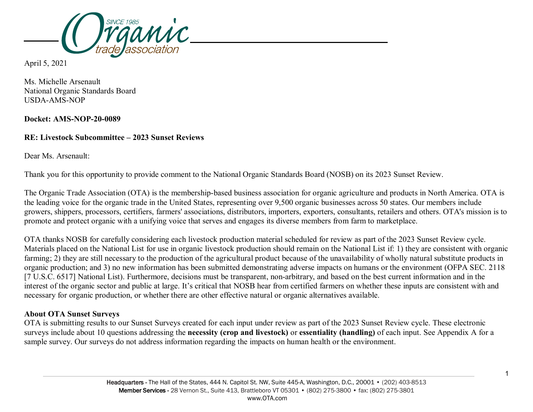

April 5, 2021

Ms. Michelle Arsenault National Organic Standards Board USDA-AMS-NOP

**Docket: AMS-NOP-20-0089**

## **RE: Livestock Subcommittee – 2023 Sunset Reviews**

Dear Ms. Arsenault:

Thank you for this opportunity to provide comment to the National Organic Standards Board (NOSB) on its 2023 Sunset Review.

The Organic Trade Association (OTA) is the membership-based business association for organic agriculture and products in North America. OTA is the leading voice for the organic trade in the United States, representing over 9,500 organic businesses across 50 states. Our members include growers, shippers, processors, certifiers, farmers' associations, distributors, importers, exporters, consultants, retailers and others. OTA's mission is to promote and protect organic with a unifying voice that serves and engages its diverse members from farm to marketplace.

OTA thanks NOSB for carefully considering each livestock production material scheduled for review as part of the 2023 Sunset Review cycle. Materials placed on the National List for use in organic livestock production should remain on the National List if: 1) they are consistent with organic farming; 2) they are still necessary to the production of the agricultural product because of the unavailability of wholly natural substitute products in organic production; and 3) no new information has been submitted demonstrating adverse impacts on humans or the environment (OFPA SEC. 2118 [7 U.S.C. 6517] National List). Furthermore, decisions must be transparent, non-arbitrary, and based on the best current information and in the interest of the organic sector and public at large. It's critical that NOSB hear from certified farmers on whether these inputs are consistent with and necessary for organic production, or whether there are other effective natural or organic alternatives available.

## **About OTA Sunset Surveys**

OTA is submitting results to our Sunset Surveys created for each input under review as part of the 2023 Sunset Review cycle. These electronic surveys include about 10 questions addressing the **necessity (crop and livestock)** or **essentiality (handling)** of each input. See Appendix A for a sample survey. Our surveys do not address information regarding the impacts on human health or the environment.

1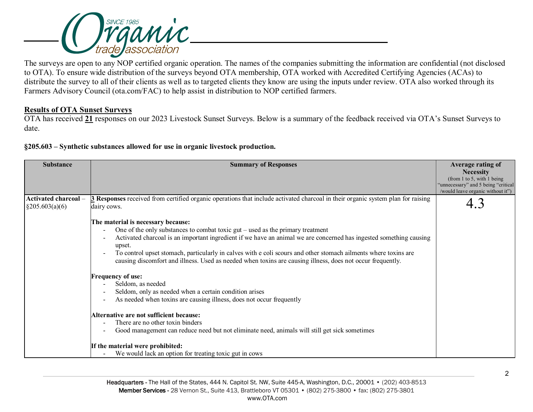

The surveys are open to any NOP certified organic operation. The names of the companies submitting the information are confidential (not disclosed to OTA). To ensure wide distribution of the surveys beyond OTA membership, OTA worked with Accredited Certifying Agencies (ACAs) to distribute the survey to all of their clients as well as to targeted clients they know are using the inputs under review. OTA also worked through its Farmers Advisory Council (ota.com/FAC) to help assist in distribution to NOP certified farmers.

## **Results of OTA Sunset Surveys**

OTA has received **21** responses on our 2023 Livestock Sunset Surveys. Below is a summary of the feedback received via OTA's Sunset Surveys to date.

**§205.603 – Synthetic substances allowed for use in organic livestock production.** 

| <b>Substance</b>                          | <b>Summary of Responses</b>                                                                                                                           | Average rating of                   |
|-------------------------------------------|-------------------------------------------------------------------------------------------------------------------------------------------------------|-------------------------------------|
|                                           |                                                                                                                                                       | <b>Necessity</b>                    |
|                                           |                                                                                                                                                       | (from 1 to 5, with 1 being)         |
|                                           |                                                                                                                                                       | "unnecessary" and 5 being "critical |
|                                           |                                                                                                                                                       | /would leave organic without it")   |
| Activated charcoal-<br>$\S 205.603(a)(6)$ | <b>3</b> Responses received from certified organic operations that include activated charcoal in their organic system plan for raising<br>dairy cows. |                                     |
|                                           | The material is necessary because:                                                                                                                    |                                     |
|                                           | One of the only substances to combat toxic gut $-$ used as the primary treatment                                                                      |                                     |
|                                           | Activated charcoal is an important ingredient if we have an animal we are concerned has ingested something causing<br>upset.                          |                                     |
|                                           | To control upset stomach, particularly in calves with e coli scours and other stomach ailments where toxins are                                       |                                     |
|                                           | causing discomfort and illness. Used as needed when toxins are causing illness, does not occur frequently.                                            |                                     |
|                                           | <b>Frequency of use:</b>                                                                                                                              |                                     |
|                                           | Seldom, as needed                                                                                                                                     |                                     |
|                                           | Seldom, only as needed when a certain condition arises                                                                                                |                                     |
|                                           | As needed when toxins are causing illness, does not occur frequently                                                                                  |                                     |
|                                           | Alternative are not sufficient because:                                                                                                               |                                     |
|                                           | There are no other toxin binders                                                                                                                      |                                     |
|                                           | Good management can reduce need but not eliminate need, animals will still get sick sometimes                                                         |                                     |
|                                           | If the material were prohibited:                                                                                                                      |                                     |
|                                           | We would lack an option for treating toxic gut in cows                                                                                                |                                     |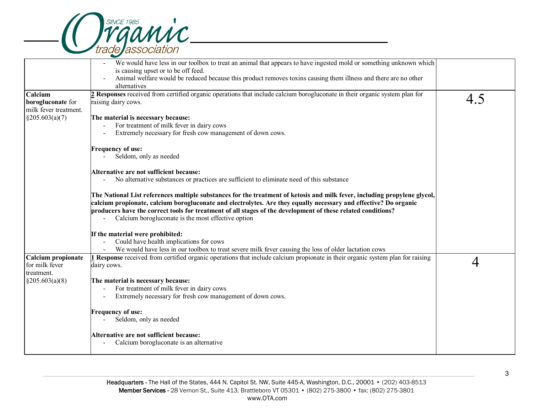

|                                            | We would have less in our toolbox to treat an animal that appears to have ingested mold or something unknown which<br>is causing upset or to be off feed.                                                                                                                                                                                                                                                           |     |
|--------------------------------------------|---------------------------------------------------------------------------------------------------------------------------------------------------------------------------------------------------------------------------------------------------------------------------------------------------------------------------------------------------------------------------------------------------------------------|-----|
|                                            | Animal welfare would be reduced because this product removes toxins causing them illness and there are no other<br>alternatives                                                                                                                                                                                                                                                                                     |     |
| Calcium                                    |                                                                                                                                                                                                                                                                                                                                                                                                                     |     |
| borogluconate for<br>milk fever treatment. | $2$ Responses received from certified organic operations that include calcium borogluconate in their organic system plan for<br>raising dairy cows.                                                                                                                                                                                                                                                                 | 4.5 |
| $\S 205.603(a)(7)$                         | The material is necessary because:                                                                                                                                                                                                                                                                                                                                                                                  |     |
|                                            | For treatment of milk fever in dairy cows                                                                                                                                                                                                                                                                                                                                                                           |     |
|                                            | Extremely necessary for fresh cow management of down cows.                                                                                                                                                                                                                                                                                                                                                          |     |
|                                            | <b>Frequency of use:</b>                                                                                                                                                                                                                                                                                                                                                                                            |     |
|                                            | Seldom, only as needed                                                                                                                                                                                                                                                                                                                                                                                              |     |
|                                            | Alternative are not sufficient because:                                                                                                                                                                                                                                                                                                                                                                             |     |
|                                            | No alternative substances or practices are sufficient to eliminate need of this substance                                                                                                                                                                                                                                                                                                                           |     |
|                                            | The National List references multiple substances for the treatment of ketosis and milk fever, including propylene glycol,<br>calcium propionate, calcium borogluconate and electrolytes. Are they equally necessary and effective? Do organic<br>producers have the correct tools for treatment of all stages of the development of these related conditions?<br>Calcium borogluconate is the most effective option |     |
|                                            | If the material were prohibited:                                                                                                                                                                                                                                                                                                                                                                                    |     |
|                                            | Could have health implications for cows                                                                                                                                                                                                                                                                                                                                                                             |     |
|                                            | We would have less in our toolbox to treat severe milk fever causing the loss of older lactation cows                                                                                                                                                                                                                                                                                                               |     |
| Calcium propionate                         | 1 Response received from certified organic operations that include calcium propionate in their organic system plan for raising                                                                                                                                                                                                                                                                                      |     |
| for milk fever                             | dairy cows.                                                                                                                                                                                                                                                                                                                                                                                                         |     |
| treatment.                                 |                                                                                                                                                                                                                                                                                                                                                                                                                     |     |
| $\S 205.603(a)(8)$                         | The material is necessary because:                                                                                                                                                                                                                                                                                                                                                                                  |     |
|                                            | For treatment of milk fever in dairy cows                                                                                                                                                                                                                                                                                                                                                                           |     |
|                                            | Extremely necessary for fresh cow management of down cows.                                                                                                                                                                                                                                                                                                                                                          |     |
|                                            | <b>Frequency of use:</b>                                                                                                                                                                                                                                                                                                                                                                                            |     |
|                                            | Seldom, only as needed                                                                                                                                                                                                                                                                                                                                                                                              |     |
|                                            | Alternative are not sufficient because:                                                                                                                                                                                                                                                                                                                                                                             |     |
|                                            | Calcium borogluconate is an alternative                                                                                                                                                                                                                                                                                                                                                                             |     |
|                                            |                                                                                                                                                                                                                                                                                                                                                                                                                     |     |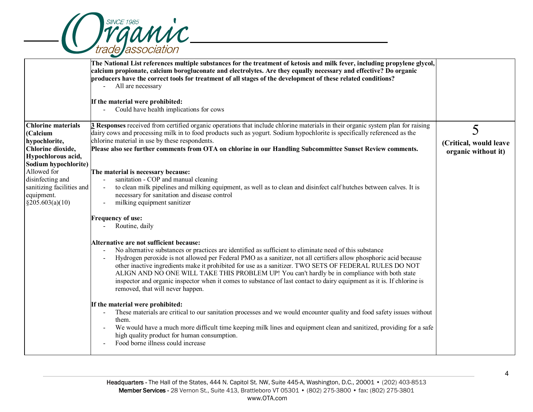

| The National List references multiple substances for the treatment of ketosis and milk fever, including propylene glycol,<br>calcium propionate, calcium borogluconate and electrolytes. Are they equally necessary and effective? Do organic<br>producers have the correct tools for treatment of all stages of the development of these related conditions?<br>All are necessary<br>If the material were prohibited:<br>Could have health implications for cows<br>$\overline{\phantom{a}}$<br>3 Responses received from certified organic operations that include chlorine materials in their organic system plan for raising<br>5<br>dairy cows and processing milk in to food products such as yogurt. Sodium hypochlorite is specifically referenced as the<br>chlorine material in use by these respondents.<br>(Critical, would leave<br>Please also see further comments from OTA on chlorine in our Handling Subcommittee Sunset Review comments.<br>organic without it)<br>Allowed for<br>The material is necessary because:<br>sanitation - COP and manual cleaning<br>sanitizing facilities and<br>to clean milk pipelines and milking equipment, as well as to clean and disinfect calf hutches between calves. It is<br>necessary for sanitation and disease control<br>milking equipment sanitizer<br><b>Frequency of use:</b><br>Routine, daily<br>Alternative are not sufficient because:<br>No alternative substances or practices are identified as sufficient to eliminate need of this substance<br>Hydrogen peroxide is not allowed per Federal PMO as a sanitizer, not all certifiers allow phosphoric acid because<br>other inactive ingredients make it prohibited for use as a sanitizer. TWO SETS OF FEDERAL RULES DO NOT<br>ALIGN AND NO ONE WILL TAKE THIS PROBLEM UP! You can't hardly be in compliance with both state<br>inspector and organic inspector when it comes to substance of last contact to dairy equipment as it is. If chlorine is<br>removed, that will never happen.<br>If the material were prohibited:<br>These materials are critical to our sanitation processes and we would encounter quality and food safety issues without<br>$\overline{\phantom{a}}$<br>them.<br>We would have a much more difficult time keeping milk lines and equipment clean and sanitized, providing for a safe<br>high quality product for human consumption.<br>Food borne illness could increase |                                                                                                                                                                                    |  |
|------------------------------------------------------------------------------------------------------------------------------------------------------------------------------------------------------------------------------------------------------------------------------------------------------------------------------------------------------------------------------------------------------------------------------------------------------------------------------------------------------------------------------------------------------------------------------------------------------------------------------------------------------------------------------------------------------------------------------------------------------------------------------------------------------------------------------------------------------------------------------------------------------------------------------------------------------------------------------------------------------------------------------------------------------------------------------------------------------------------------------------------------------------------------------------------------------------------------------------------------------------------------------------------------------------------------------------------------------------------------------------------------------------------------------------------------------------------------------------------------------------------------------------------------------------------------------------------------------------------------------------------------------------------------------------------------------------------------------------------------------------------------------------------------------------------------------------------------------------------------------------------------------------------------------------------------------------------------------------------------------------------------------------------------------------------------------------------------------------------------------------------------------------------------------------------------------------------------------------------------------------------------------------------------------------------------------------------------------------------------------------------------------------------------------------|------------------------------------------------------------------------------------------------------------------------------------------------------------------------------------|--|
|                                                                                                                                                                                                                                                                                                                                                                                                                                                                                                                                                                                                                                                                                                                                                                                                                                                                                                                                                                                                                                                                                                                                                                                                                                                                                                                                                                                                                                                                                                                                                                                                                                                                                                                                                                                                                                                                                                                                                                                                                                                                                                                                                                                                                                                                                                                                                                                                                                    |                                                                                                                                                                                    |  |
|                                                                                                                                                                                                                                                                                                                                                                                                                                                                                                                                                                                                                                                                                                                                                                                                                                                                                                                                                                                                                                                                                                                                                                                                                                                                                                                                                                                                                                                                                                                                                                                                                                                                                                                                                                                                                                                                                                                                                                                                                                                                                                                                                                                                                                                                                                                                                                                                                                    |                                                                                                                                                                                    |  |
|                                                                                                                                                                                                                                                                                                                                                                                                                                                                                                                                                                                                                                                                                                                                                                                                                                                                                                                                                                                                                                                                                                                                                                                                                                                                                                                                                                                                                                                                                                                                                                                                                                                                                                                                                                                                                                                                                                                                                                                                                                                                                                                                                                                                                                                                                                                                                                                                                                    | <b>Chlorine materials</b><br>(Calcium<br>hypochlorite,<br>Chlorine dioxide,<br>Hypochlorous acid,<br>Sodium hypochlorite)<br>disinfecting and<br>equipment.<br>$\S 205.603(a)(10)$ |  |
|                                                                                                                                                                                                                                                                                                                                                                                                                                                                                                                                                                                                                                                                                                                                                                                                                                                                                                                                                                                                                                                                                                                                                                                                                                                                                                                                                                                                                                                                                                                                                                                                                                                                                                                                                                                                                                                                                                                                                                                                                                                                                                                                                                                                                                                                                                                                                                                                                                    |                                                                                                                                                                                    |  |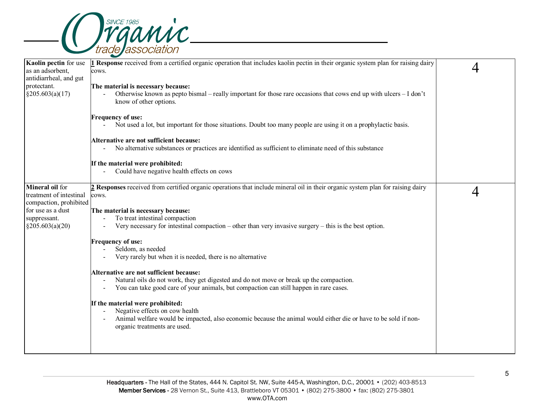

| Kaolin pectin for use<br>as an adsorbent,<br>antidiarrheal, and gut  | <b>L</b> Response received from a certified organic operation that includes kaolin pectin in their organic system plan for raising dairy<br>cows.                                                                                                |  |
|----------------------------------------------------------------------|--------------------------------------------------------------------------------------------------------------------------------------------------------------------------------------------------------------------------------------------------|--|
| protectant.<br>§205.603(a)(17)                                       | The material is necessary because:<br>Otherwise known as pepto bismal – really important for those rare occasions that cows end up with ulcers – I don't<br>know of other options.                                                               |  |
|                                                                      | <b>Frequency of use:</b><br>- Not used a lot, but important for those situations. Doubt too many people are using it on a prophylactic basis.                                                                                                    |  |
|                                                                      | Alternative are not sufficient because:<br>No alternative substances or practices are identified as sufficient to eliminate need of this substance                                                                                               |  |
|                                                                      | If the material were prohibited:<br>Could have negative health effects on cows                                                                                                                                                                   |  |
| Mineral oil for<br>treatment of intestinal<br>compaction, prohibited | 2 Responses received from certified organic operations that include mineral oil in their organic system plan for raising dairy<br>cows.                                                                                                          |  |
| for use as a dust<br>suppressant.<br>$\S 205.603(a)(20)$             | The material is necessary because:<br>To treat intestinal compaction<br>$\overline{\phantom{a}}$<br>Very necessary for intestinal compaction – other than very invasive surgery – this is the best option.<br>$\overline{\phantom{a}}$           |  |
|                                                                      | <b>Frequency of use:</b><br>Seldom, as needed<br>Very rarely but when it is needed, there is no alternative                                                                                                                                      |  |
|                                                                      | Alternative are not sufficient because:<br>Natural oils do not work, they get digested and do not move or break up the compaction.<br>You can take good care of your animals, but compaction can still happen in rare cases.<br>$\blacksquare$   |  |
|                                                                      | If the material were prohibited:<br>Negative effects on cow health<br>$\overline{\phantom{a}}$<br>Animal welfare would be impacted, also economic because the animal would either die or have to be sold if non-<br>organic treatments are used. |  |
|                                                                      |                                                                                                                                                                                                                                                  |  |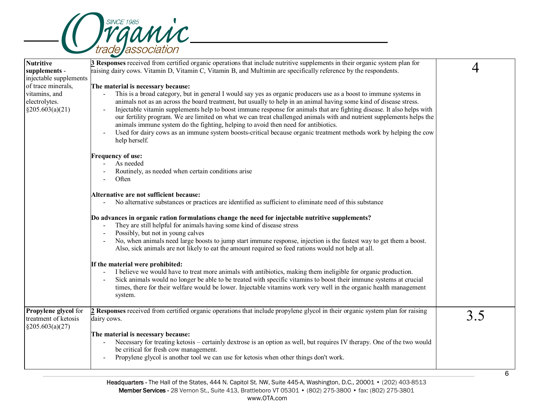

| <b>Nutritive</b>                                                    | <b>3</b> Responses received from certified organic operations that include nutritive supplements in their organic system plan for                                                                                                                                                                                                                                                                                                                                                                                                                                                                                                                                                                                      |     |
|---------------------------------------------------------------------|------------------------------------------------------------------------------------------------------------------------------------------------------------------------------------------------------------------------------------------------------------------------------------------------------------------------------------------------------------------------------------------------------------------------------------------------------------------------------------------------------------------------------------------------------------------------------------------------------------------------------------------------------------------------------------------------------------------------|-----|
| supplements -                                                       | raising dairy cows. Vitamin D, Vitamin C, Vitamin B, and Multimin are specifically reference by the respondents.                                                                                                                                                                                                                                                                                                                                                                                                                                                                                                                                                                                                       |     |
| injectable supplements                                              |                                                                                                                                                                                                                                                                                                                                                                                                                                                                                                                                                                                                                                                                                                                        |     |
| of trace minerals,                                                  | The material is necessary because:                                                                                                                                                                                                                                                                                                                                                                                                                                                                                                                                                                                                                                                                                     |     |
| vitamins, and<br>electrolytes.<br>$\S 205.603(a)(21)$               | This is a broad category, but in general I would say yes as organic producers use as a boost to immune systems in<br>animals not as an across the board treatment, but usually to help in an animal having some kind of disease stress.<br>Injectable vitamin supplements help to boost immune response for animals that are fighting disease. It also helps with<br>our fertility program. We are limited on what we can treat challenged animals with and nutrient supplements helps the<br>animals immune system do the fighting, helping to avoid then need for antibiotics.<br>Used for dairy cows as an immune system boosts-critical because organic treatment methods work by helping the cow<br>help herself. |     |
|                                                                     | <b>Frequency of use:</b>                                                                                                                                                                                                                                                                                                                                                                                                                                                                                                                                                                                                                                                                                               |     |
|                                                                     | As needed                                                                                                                                                                                                                                                                                                                                                                                                                                                                                                                                                                                                                                                                                                              |     |
|                                                                     | Routinely, as needed when certain conditions arise                                                                                                                                                                                                                                                                                                                                                                                                                                                                                                                                                                                                                                                                     |     |
|                                                                     | Often                                                                                                                                                                                                                                                                                                                                                                                                                                                                                                                                                                                                                                                                                                                  |     |
|                                                                     | Alternative are not sufficient because:                                                                                                                                                                                                                                                                                                                                                                                                                                                                                                                                                                                                                                                                                |     |
|                                                                     | No alternative substances or practices are identified as sufficient to eliminate need of this substance                                                                                                                                                                                                                                                                                                                                                                                                                                                                                                                                                                                                                |     |
|                                                                     | Do advances in organic ration formulations change the need for injectable nutritive supplements?<br>They are still helpful for animals having some kind of disease stress<br>Possibly, but not in young calves<br>No, when animals need large boosts to jump start immune response, injection is the fastest way to get them a boost.<br>Also, sick animals are not likely to eat the amount required so feed rations would not help at all.                                                                                                                                                                                                                                                                           |     |
|                                                                     |                                                                                                                                                                                                                                                                                                                                                                                                                                                                                                                                                                                                                                                                                                                        |     |
|                                                                     | If the material were prohibited:<br>I believe we would have to treat more animals with antibiotics, making them ineligible for organic production.                                                                                                                                                                                                                                                                                                                                                                                                                                                                                                                                                                     |     |
|                                                                     | Sick animals would no longer be able to be treated with specific vitamins to boost their immune systems at crucial<br>times, there for their welfare would be lower. Injectable vitamins work very well in the organic health management<br>system.                                                                                                                                                                                                                                                                                                                                                                                                                                                                    |     |
| Propylene glycol for<br>treatment of ketosis<br>$\S 205.603(a)(27)$ | 2 Responses received from certified organic operations that include propylene glycol in their organic system plan for raising<br>dairy cows.                                                                                                                                                                                                                                                                                                                                                                                                                                                                                                                                                                           | 3.5 |
|                                                                     | The material is necessary because:<br>Necessary for treating ketosis – certainly dextrose is an option as well, but requires IV therapy. One of the two would<br>be critical for fresh cow management.<br>Propylene glycol is another tool we can use for ketosis when other things don't work.                                                                                                                                                                                                                                                                                                                                                                                                                        |     |
|                                                                     |                                                                                                                                                                                                                                                                                                                                                                                                                                                                                                                                                                                                                                                                                                                        |     |

6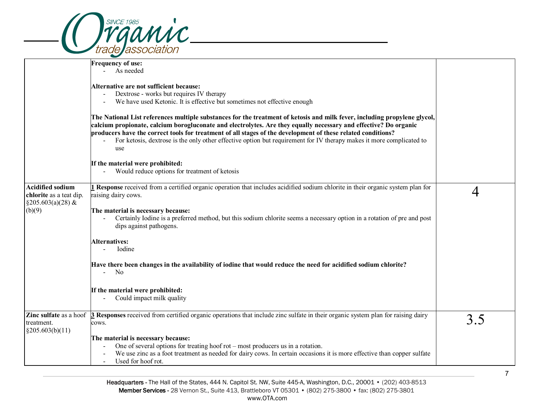|                                                                             | <b>SINCE 1985</b><br>ganic.                                                                                                                                                                                                                                                                                                                                                                                                                                                                  |     |
|-----------------------------------------------------------------------------|----------------------------------------------------------------------------------------------------------------------------------------------------------------------------------------------------------------------------------------------------------------------------------------------------------------------------------------------------------------------------------------------------------------------------------------------------------------------------------------------|-----|
|                                                                             | de association                                                                                                                                                                                                                                                                                                                                                                                                                                                                               |     |
|                                                                             | <b>Frequency of use:</b><br>As needed                                                                                                                                                                                                                                                                                                                                                                                                                                                        |     |
|                                                                             | Alternative are not sufficient because:<br>Dextrose - works but requires IV therapy<br>We have used Ketonic. It is effective but sometimes not effective enough<br>$\sim$                                                                                                                                                                                                                                                                                                                    |     |
|                                                                             | The National List references multiple substances for the treatment of ketosis and milk fever, including propylene glycol,<br>calcium propionate, calcium borogluconate and electrolytes. Are they equally necessary and effective? Do organic<br>producers have the correct tools for treatment of all stages of the development of these related conditions?<br>For ketosis, dextrose is the only other effective option but requirement for IV therapy makes it more complicated to<br>use |     |
|                                                                             | If the material were prohibited:<br>Would reduce options for treatment of ketosis                                                                                                                                                                                                                                                                                                                                                                                                            |     |
| <b>Acidified sodium</b><br>chlorite as a teat dip.<br>$\S 205.603(a)(28)$ & | 1 Response received from a certified organic operation that includes acidified sodium chlorite in their organic system plan for<br>raising dairy cows.                                                                                                                                                                                                                                                                                                                                       |     |
| (b)(9)                                                                      | The material is necessary because:<br>Certainly Iodine is a preferred method, but this sodium chlorite seems a necessary option in a rotation of pre and post<br>dips against pathogens.                                                                                                                                                                                                                                                                                                     |     |
|                                                                             | Alternatives:<br>Iodine                                                                                                                                                                                                                                                                                                                                                                                                                                                                      |     |
|                                                                             | Have there been changes in the availability of iodine that would reduce the need for acidified sodium chlorite?<br>No<br>$\omega_{\rm{max}}$                                                                                                                                                                                                                                                                                                                                                 |     |
|                                                                             | If the material were prohibited:<br>Could impact milk quality                                                                                                                                                                                                                                                                                                                                                                                                                                |     |
| treatment.<br>§205.603(b)(11)                                               | Zinc sulfate as a hoof 3 Responses received from certified organic operations that include zinc sulfate in their organic system plan for raising dairy<br>cows.                                                                                                                                                                                                                                                                                                                              | 3.5 |
|                                                                             | The material is necessary because:<br>One of several options for treating hoof rot - most producers us in a rotation.<br>We use zinc as a foot treatment as needed for dairy cows. In certain occasions it is more effective than copper sulfate<br>Used for hoof rot.                                                                                                                                                                                                                       |     |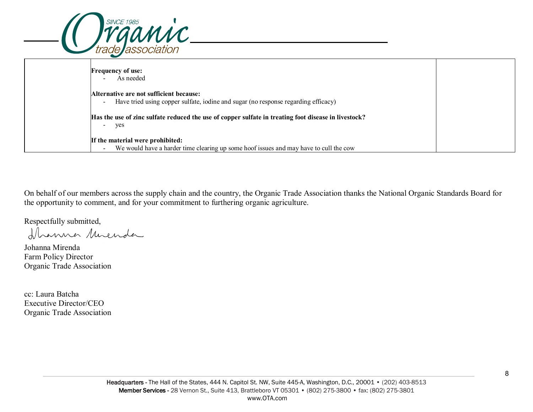| <i><b>Trgamic</b></i>                                                                                                                                     |
|-----------------------------------------------------------------------------------------------------------------------------------------------------------|
| <b>Frequency of use:</b><br>As needed                                                                                                                     |
| Alternative are not sufficient because:<br>Have tried using copper sulfate, iodine and sugar (no response regarding efficacy)<br>$\overline{\phantom{a}}$ |
| [Has the use of zinc sulfate reduced the use of copper sulfate in treating foot disease in livestock?<br>yes<br>-                                         |
| If the material were prohibited:<br>We would have a harder time clearing up some hoof issues and may have to cull the cow<br>$\overline{\phantom{a}}$     |

On behalf of our members across the supply chain and the country, the Organic Trade Association thanks the National Organic Standards Board for the opportunity to comment, and for your commitment to furthering organic agriculture.

Respectfully submitted,<br>Il conno Muenda

Johanna Mirenda Farm Policy Director Organic Trade Association

cc: Laura Batcha Executive Director/CEO Organic Trade Association